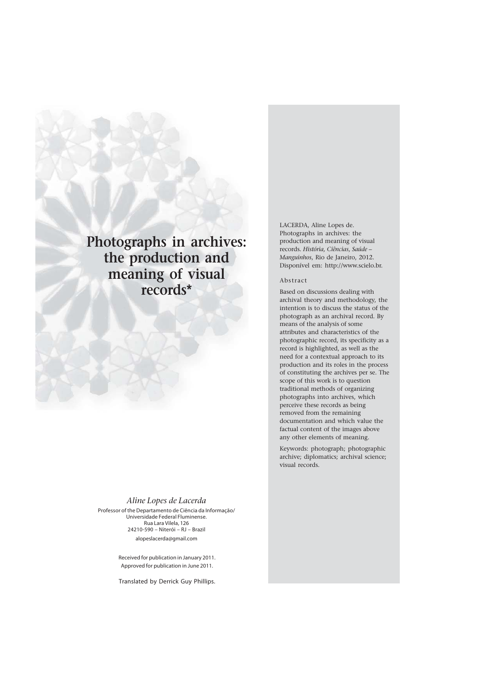**Photographs in archives: the production and meaning of visual records\***

*Aline Lopes de Lacerda*

Professor of the Departamento de Ciência da Informação/ Universidade Federal Fluminense. Rua Lara Vilela, 126 24210-590 – Niterói – RJ – Brazil alopeslacerda@gmail.com

> Received for publication in January 2011. Approved for publication in June 2011.

> Translated by Derrick Guy Phillips.

LACERDA, Aline Lopes de. Photographs in archives: the production and meaning of visual records. *História, Ciências, Saúde – Manguinhos*, Rio de Janeiro, 2012. Disponível em: http://www.scielo.br.

## Abstract

Based on discussions dealing with archival theory and methodology, the intention is to discuss the status of the photograph as an archival record. By means of the analysis of some attributes and characteristics of the photographic record, its specificity as a record is highlighted, as well as the need for a contextual approach to its production and its roles in the process of constituting the archives per se. The scope of this work is to question traditional methods of organizing photographs into archives, which perceive these records as being removed from the remaining documentation and which value the factual content of the images above any other elements of meaning.

Keywords: photograph; photographic archive; diplomatics; archival science; visual records.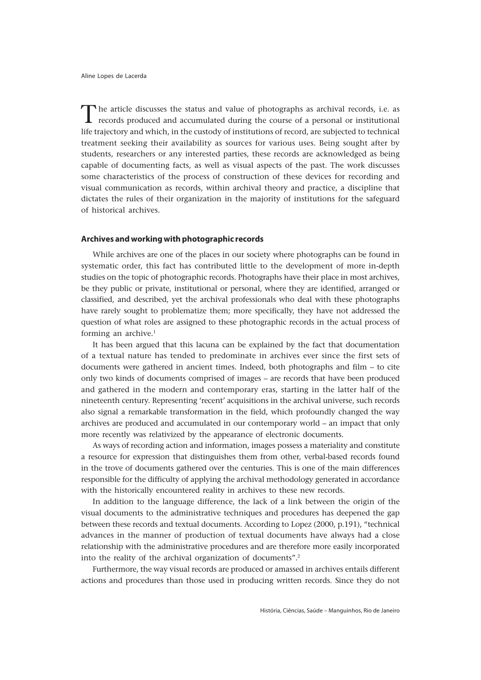The article discusses the status and value of photographs as archival records, i.e. as<br>records produced and accumulated during the course of a personal or institutional life trajectory and which, in the custody of institutions of record, are subjected to technical treatment seeking their availability as sources for various uses. Being sought after by students, researchers or any interested parties, these records are acknowledged as being capable of documenting facts, as well as visual aspects of the past. The work discusses some characteristics of the process of construction of these devices for recording and visual communication as records, within archival theory and practice, a discipline that dictates the rules of their organization in the majority of institutions for the safeguard of historical archives.

## **Archives and working with photographic records**

While archives are one of the places in our society where photographs can be found in systematic order, this fact has contributed little to the development of more in-depth studies on the topic of photographic records. Photographs have their place in most archives, be they public or private, institutional or personal, where they are identified, arranged or classified, and described, yet the archival professionals who deal with these photographs have rarely sought to problematize them; more specifically, they have not addressed the question of what roles are assigned to these photographic records in the actual process of forming an archive.<sup>1</sup>

It has been argued that this lacuna can be explained by the fact that documentation of a textual nature has tended to predominate in archives ever since the first sets of documents were gathered in ancient times. Indeed, both photographs and film – to cite only two kinds of documents comprised of images – are records that have been produced and gathered in the modern and contemporary eras, starting in the latter half of the nineteenth century. Representing 'recent' acquisitions in the archival universe, such records also signal a remarkable transformation in the field, which profoundly changed the way archives are produced and accumulated in our contemporary world – an impact that only more recently was relativized by the appearance of electronic documents.

As ways of recording action and information, images possess a materiality and constitute a resource for expression that distinguishes them from other, verbal-based records found in the trove of documents gathered over the centuries. This is one of the main differences responsible for the difficulty of applying the archival methodology generated in accordance with the historically encountered reality in archives to these new records.

In addition to the language difference, the lack of a link between the origin of the visual documents to the administrative techniques and procedures has deepened the gap between these records and textual documents. According to Lopez (2000, p.191), "technical advances in the manner of production of textual documents have always had a close relationship with the administrative procedures and are therefore more easily incorporated into the reality of the archival organization of documents".<sup>2</sup>

Furthermore, the way visual records are produced or amassed in archives entails different actions and procedures than those used in producing written records. Since they do not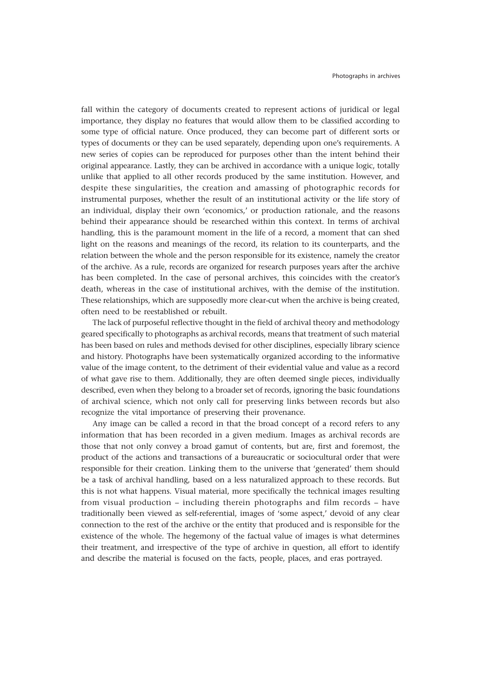fall within the category of documents created to represent actions of juridical or legal importance, they display no features that would allow them to be classified according to some type of official nature. Once produced, they can become part of different sorts or types of documents or they can be used separately, depending upon one's requirements. A new series of copies can be reproduced for purposes other than the intent behind their original appearance. Lastly, they can be archived in accordance with a unique logic, totally unlike that applied to all other records produced by the same institution. However, and despite these singularities, the creation and amassing of photographic records for instrumental purposes, whether the result of an institutional activity or the life story of an individual, display their own 'economics,' or production rationale, and the reasons behind their appearance should be researched within this context. In terms of archival handling, this is the paramount moment in the life of a record, a moment that can shed light on the reasons and meanings of the record, its relation to its counterparts, and the relation between the whole and the person responsible for its existence, namely the creator of the archive. As a rule, records are organized for research purposes years after the archive has been completed. In the case of personal archives, this coincides with the creator's death, whereas in the case of institutional archives, with the demise of the institution. These relationships, which are supposedly more clear-cut when the archive is being created, often need to be reestablished or rebuilt.

The lack of purposeful reflective thought in the field of archival theory and methodology geared specifically to photographs as archival records, means that treatment of such material has been based on rules and methods devised for other disciplines, especially library science and history. Photographs have been systematically organized according to the informative value of the image content, to the detriment of their evidential value and value as a record of what gave rise to them. Additionally, they are often deemed single pieces, individually described, even when they belong to a broader set of records, ignoring the basic foundations of archival science, which not only call for preserving links between records but also recognize the vital importance of preserving their provenance.

Any image can be called a record in that the broad concept of a record refers to any information that has been recorded in a given medium. Images as archival records are those that not only convey a broad gamut of contents, but are, first and foremost, the product of the actions and transactions of a bureaucratic or sociocultural order that were responsible for their creation. Linking them to the universe that 'generated' them should be a task of archival handling, based on a less naturalized approach to these records. But this is not what happens. Visual material, more specifically the technical images resulting from visual production – including therein photographs and film records – have traditionally been viewed as self-referential, images of 'some aspect,' devoid of any clear connection to the rest of the archive or the entity that produced and is responsible for the existence of the whole. The hegemony of the factual value of images is what determines their treatment, and irrespective of the type of archive in question, all effort to identify and describe the material is focused on the facts, people, places, and eras portrayed.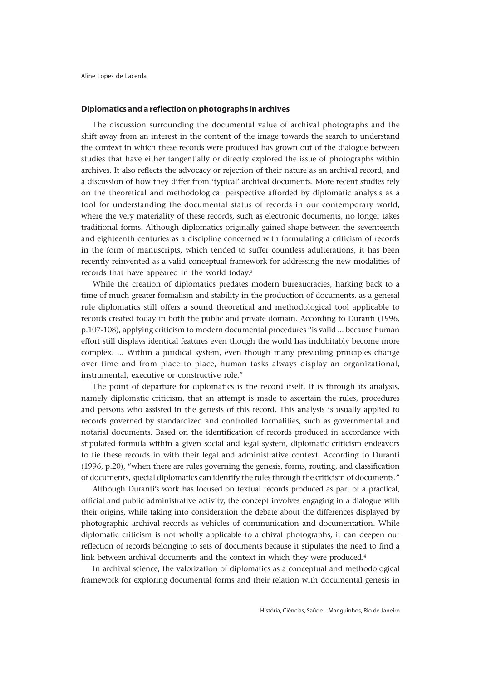## **Diplomatics and a reflection on photographs in archives**

The discussion surrounding the documental value of archival photographs and the shift away from an interest in the content of the image towards the search to understand the context in which these records were produced has grown out of the dialogue between studies that have either tangentially or directly explored the issue of photographs within archives. It also reflects the advocacy or rejection of their nature as an archival record, and a discussion of how they differ from 'typical' archival documents. More recent studies rely on the theoretical and methodological perspective afforded by diplomatic analysis as a tool for understanding the documental status of records in our contemporary world, where the very materiality of these records, such as electronic documents, no longer takes traditional forms. Although diplomatics originally gained shape between the seventeenth and eighteenth centuries as a discipline concerned with formulating a criticism of records in the form of manuscripts, which tended to suffer countless adulterations, it has been recently reinvented as a valid conceptual framework for addressing the new modalities of records that have appeared in the world today.3

While the creation of diplomatics predates modern bureaucracies, harking back to a time of much greater formalism and stability in the production of documents, as a general rule diplomatics still offers a sound theoretical and methodological tool applicable to records created today in both the public and private domain. According to Duranti (1996, p.107-108), applying criticism to modern documental procedures "is valid ... because human effort still displays identical features even though the world has indubitably become more complex. ... Within a juridical system, even though many prevailing principles change over time and from place to place, human tasks always display an organizational, instrumental, executive or constructive role."

The point of departure for diplomatics is the record itself. It is through its analysis, namely diplomatic criticism, that an attempt is made to ascertain the rules, procedures and persons who assisted in the genesis of this record. This analysis is usually applied to records governed by standardized and controlled formalities, such as governmental and notarial documents. Based on the identification of records produced in accordance with stipulated formula within a given social and legal system, diplomatic criticism endeavors to tie these records in with their legal and administrative context. According to Duranti (1996, p.20), "when there are rules governing the genesis, forms, routing, and classification of documents, special diplomatics can identify the rules through the criticism of documents."

Although Duranti's work has focused on textual records produced as part of a practical, official and public administrative activity, the concept involves engaging in a dialogue with their origins, while taking into consideration the debate about the differences displayed by photographic archival records as vehicles of communication and documentation. While diplomatic criticism is not wholly applicable to archival photographs, it can deepen our reflection of records belonging to sets of documents because it stipulates the need to find a link between archival documents and the context in which they were produced.4

In archival science, the valorization of diplomatics as a conceptual and methodological framework for exploring documental forms and their relation with documental genesis in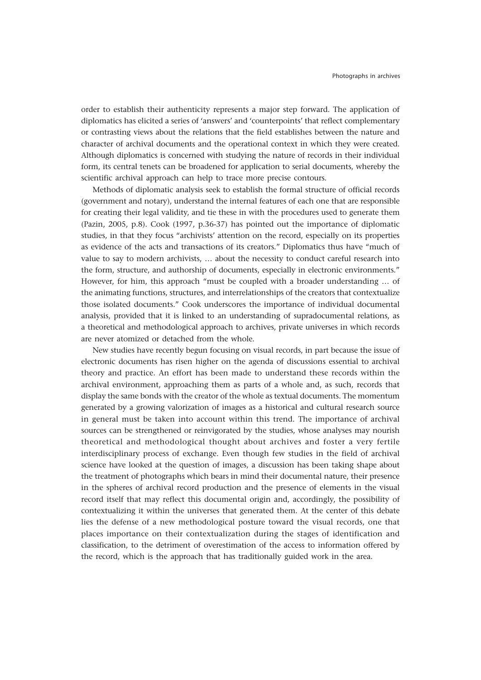order to establish their authenticity represents a major step forward. The application of diplomatics has elicited a series of 'answers' and 'counterpoints' that reflect complementary or contrasting views about the relations that the field establishes between the nature and character of archival documents and the operational context in which they were created. Although diplomatics is concerned with studying the nature of records in their individual form, its central tenets can be broadened for application to serial documents, whereby the scientific archival approach can help to trace more precise contours.

Methods of diplomatic analysis seek to establish the formal structure of official records (government and notary), understand the internal features of each one that are responsible for creating their legal validity, and tie these in with the procedures used to generate them (Pazin, 2005, p.8). Cook (1997, p.36-37) has pointed out the importance of diplomatic studies, in that they focus "archivists' attention on the record, especially on its properties as evidence of the acts and transactions of its creators." Diplomatics thus have "much of value to say to modern archivists, … about the necessity to conduct careful research into the form, structure, and authorship of documents, especially in electronic environments." However, for him, this approach "must be coupled with a broader understanding … of the animating functions, structures, and interrelationships of the creators that contextualize those isolated documents." Cook underscores the importance of individual documental analysis, provided that it is linked to an understanding of supradocumental relations, as a theoretical and methodological approach to archives, private universes in which records are never atomized or detached from the whole.

New studies have recently begun focusing on visual records, in part because the issue of electronic documents has risen higher on the agenda of discussions essential to archival theory and practice. An effort has been made to understand these records within the archival environment, approaching them as parts of a whole and, as such, records that display the same bonds with the creator of the whole as textual documents. The momentum generated by a growing valorization of images as a historical and cultural research source in general must be taken into account within this trend. The importance of archival sources can be strengthened or reinvigorated by the studies, whose analyses may nourish theoretical and methodological thought about archives and foster a very fertile interdisciplinary process of exchange. Even though few studies in the field of archival science have looked at the question of images, a discussion has been taking shape about the treatment of photographs which bears in mind their documental nature, their presence in the spheres of archival record production and the presence of elements in the visual record itself that may reflect this documental origin and, accordingly, the possibility of contextualizing it within the universes that generated them. At the center of this debate lies the defense of a new methodological posture toward the visual records, one that places importance on their contextualization during the stages of identification and classification, to the detriment of overestimation of the access to information offered by the record, which is the approach that has traditionally guided work in the area.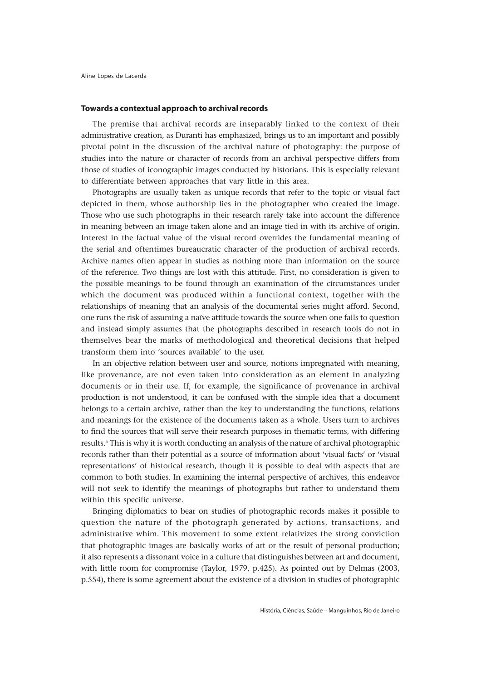## **Towards a contextual approach to archival records**

The premise that archival records are inseparably linked to the context of their administrative creation, as Duranti has emphasized, brings us to an important and possibly pivotal point in the discussion of the archival nature of photography: the purpose of studies into the nature or character of records from an archival perspective differs from those of studies of iconographic images conducted by historians. This is especially relevant to differentiate between approaches that vary little in this area.

Photographs are usually taken as unique records that refer to the topic or visual fact depicted in them, whose authorship lies in the photographer who created the image. Those who use such photographs in their research rarely take into account the difference in meaning between an image taken alone and an image tied in with its archive of origin. Interest in the factual value of the visual record overrides the fundamental meaning of the serial and oftentimes bureaucratic character of the production of archival records. Archive names often appear in studies as nothing more than information on the source of the reference. Two things are lost with this attitude. First, no consideration is given to the possible meanings to be found through an examination of the circumstances under which the document was produced within a functional context, together with the relationships of meaning that an analysis of the documental series might afford. Second, one runs the risk of assuming a naïve attitude towards the source when one fails to question and instead simply assumes that the photographs described in research tools do not in themselves bear the marks of methodological and theoretical decisions that helped transform them into 'sources available' to the user.

In an objective relation between user and source, notions impregnated with meaning, like provenance, are not even taken into consideration as an element in analyzing documents or in their use. If, for example, the significance of provenance in archival production is not understood, it can be confused with the simple idea that a document belongs to a certain archive, rather than the key to understanding the functions, relations and meanings for the existence of the documents taken as a whole. Users turn to archives to find the sources that will serve their research purposes in thematic terms, with differing results.<sup>5</sup> This is why it is worth conducting an analysis of the nature of archival photographic records rather than their potential as a source of information about 'visual facts' or 'visual representations' of historical research, though it is possible to deal with aspects that are common to both studies. In examining the internal perspective of archives, this endeavor will not seek to identify the meanings of photographs but rather to understand them within this specific universe.

Bringing diplomatics to bear on studies of photographic records makes it possible to question the nature of the photograph generated by actions, transactions, and administrative whim. This movement to some extent relativizes the strong conviction that photographic images are basically works of art or the result of personal production; it also represents a dissonant voice in a culture that distinguishes between art and document, with little room for compromise (Taylor, 1979, p.425). As pointed out by Delmas (2003, p.554), there is some agreement about the existence of a division in studies of photographic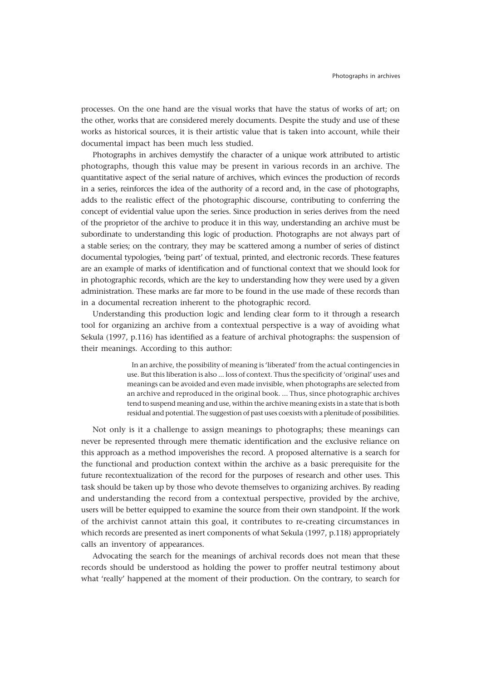processes. On the one hand are the visual works that have the status of works of art; on the other, works that are considered merely documents. Despite the study and use of these works as historical sources, it is their artistic value that is taken into account, while their documental impact has been much less studied.

Photographs in archives demystify the character of a unique work attributed to artistic photographs, though this value may be present in various records in an archive. The quantitative aspect of the serial nature of archives, which evinces the production of records in a series, reinforces the idea of the authority of a record and, in the case of photographs, adds to the realistic effect of the photographic discourse, contributing to conferring the concept of evidential value upon the series. Since production in series derives from the need of the proprietor of the archive to produce it in this way, understanding an archive must be subordinate to understanding this logic of production. Photographs are not always part of a stable series; on the contrary, they may be scattered among a number of series of distinct documental typologies, 'being part' of textual, printed, and electronic records. These features are an example of marks of identification and of functional context that we should look for in photographic records, which are the key to understanding how they were used by a given administration. These marks are far more to be found in the use made of these records than in a documental recreation inherent to the photographic record.

Understanding this production logic and lending clear form to it through a research tool for organizing an archive from a contextual perspective is a way of avoiding what Sekula (1997, p.116) has identified as a feature of archival photographs: the suspension of their meanings. According to this author:

> In an archive, the possibility of meaning is 'liberated' from the actual contingencies in use. But this liberation is also ... loss of context. Thus the specificity of 'original' uses and meanings can be avoided and even made invisible, when photographs are selected from an archive and reproduced in the original book. ... Thus, since photographic archives tend to suspend meaning and use, within the archive meaning exists in a state that is both residual and potential. The suggestion of past uses coexists with a plenitude of possibilities.

Not only is it a challenge to assign meanings to photographs; these meanings can never be represented through mere thematic identification and the exclusive reliance on this approach as a method impoverishes the record. A proposed alternative is a search for the functional and production context within the archive as a basic prerequisite for the future recontextualization of the record for the purposes of research and other uses. This task should be taken up by those who devote themselves to organizing archives. By reading and understanding the record from a contextual perspective, provided by the archive, users will be better equipped to examine the source from their own standpoint. If the work of the archivist cannot attain this goal, it contributes to re-creating circumstances in which records are presented as inert components of what Sekula (1997, p.118) appropriately calls an inventory of appearances.

Advocating the search for the meanings of archival records does not mean that these records should be understood as holding the power to proffer neutral testimony about what 'really' happened at the moment of their production. On the contrary, to search for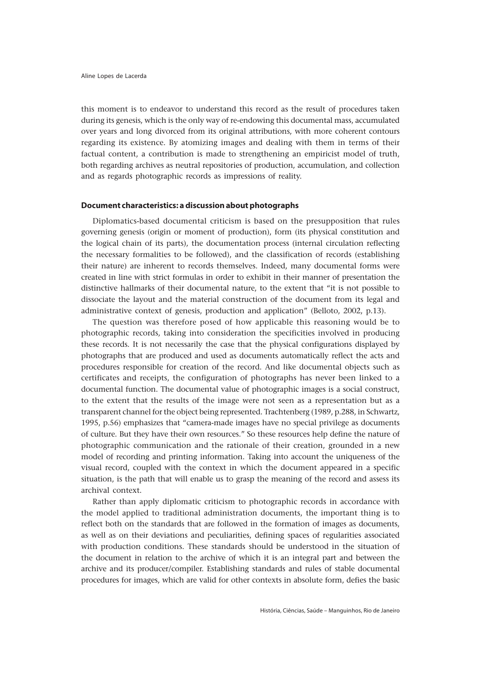this moment is to endeavor to understand this record as the result of procedures taken during its genesis, which is the only way of re-endowing this documental mass, accumulated over years and long divorced from its original attributions, with more coherent contours regarding its existence. By atomizing images and dealing with them in terms of their factual content, a contribution is made to strengthening an empiricist model of truth, both regarding archives as neutral repositories of production, accumulation, and collection and as regards photographic records as impressions of reality.

## **Document characteristics: a discussion about photographs**

Diplomatics-based documental criticism is based on the presupposition that rules governing genesis (origin or moment of production), form (its physical constitution and the logical chain of its parts), the documentation process (internal circulation reflecting the necessary formalities to be followed), and the classification of records (establishing their nature) are inherent to records themselves. Indeed, many documental forms were created in line with strict formulas in order to exhibit in their manner of presentation the distinctive hallmarks of their documental nature, to the extent that "it is not possible to dissociate the layout and the material construction of the document from its legal and administrative context of genesis, production and application" (Belloto, 2002, p.13).

The question was therefore posed of how applicable this reasoning would be to photographic records, taking into consideration the specificities involved in producing these records. It is not necessarily the case that the physical configurations displayed by photographs that are produced and used as documents automatically reflect the acts and procedures responsible for creation of the record. And like documental objects such as certificates and receipts, the configuration of photographs has never been linked to a documental function. The documental value of photographic images is a social construct, to the extent that the results of the image were not seen as a representation but as a transparent channel for the object being represented. Trachtenberg (1989, p.288, in Schwartz, 1995, p.56) emphasizes that "camera-made images have no special privilege as documents of culture. But they have their own resources." So these resources help define the nature of photographic communication and the rationale of their creation, grounded in a new model of recording and printing information. Taking into account the uniqueness of the visual record, coupled with the context in which the document appeared in a specific situation, is the path that will enable us to grasp the meaning of the record and assess its archival context.

Rather than apply diplomatic criticism to photographic records in accordance with the model applied to traditional administration documents, the important thing is to reflect both on the standards that are followed in the formation of images as documents, as well as on their deviations and peculiarities, defining spaces of regularities associated with production conditions. These standards should be understood in the situation of the document in relation to the archive of which it is an integral part and between the archive and its producer/compiler. Establishing standards and rules of stable documental procedures for images, which are valid for other contexts in absolute form, defies the basic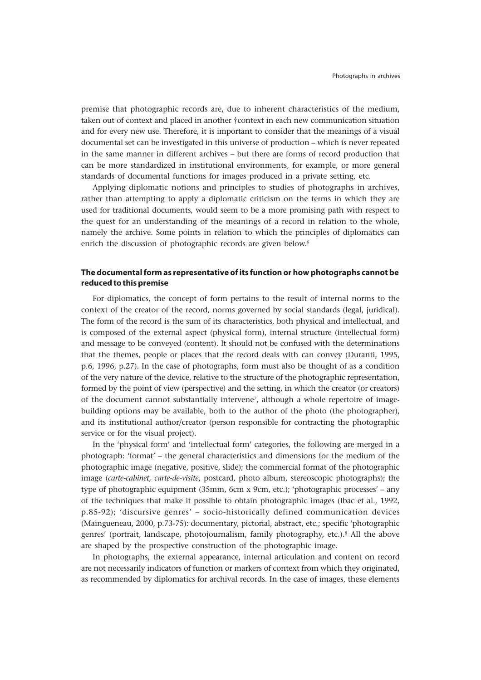premise that photographic records are, due to inherent characteristics of the medium, taken out of context and placed in another †context in each new communication situation and for every new use. Therefore, it is important to consider that the meanings of a visual documental set can be investigated in this universe of production – which is never repeated in the same manner in different archives – but there are forms of record production that can be more standardized in institutional environments, for example, or more general standards of documental functions for images produced in a private setting, etc.

Applying diplomatic notions and principles to studies of photographs in archives, rather than attempting to apply a diplomatic criticism on the terms in which they are used for traditional documents, would seem to be a more promising path with respect to the quest for an understanding of the meanings of a record in relation to the whole, namely the archive. Some points in relation to which the principles of diplomatics can enrich the discussion of photographic records are given below.<sup>6</sup>

# **The documental form as representative of its function or how photographs cannot be reduced to this premise**

For diplomatics, the concept of form pertains to the result of internal norms to the context of the creator of the record, norms governed by social standards (legal, juridical). The form of the record is the sum of its characteristics, both physical and intellectual, and is composed of the external aspect (physical form), internal structure (intellectual form) and message to be conveyed (content). It should not be confused with the determinations that the themes, people or places that the record deals with can convey (Duranti, 1995, p.6, 1996, p.27). In the case of photographs, form must also be thought of as a condition of the very nature of the device, relative to the structure of the photographic representation, formed by the point of view (perspective) and the setting, in which the creator (or creators) of the document cannot substantially intervene<sup>7</sup>, although a whole repertoire of imagebuilding options may be available, both to the author of the photo (the photographer), and its institutional author/creator (person responsible for contracting the photographic service or for the visual project).

In the 'physical form' and 'intellectual form' categories, the following are merged in a photograph: 'format' – the general characteristics and dimensions for the medium of the photographic image (negative, positive, slide); the commercial format of the photographic image (*carte-cabinet, carte-de-visite*, postcard, photo album, stereoscopic photographs); the type of photographic equipment (35mm, 6cm x 9cm, etc.); 'photographic processes' – any of the techniques that make it possible to obtain photographic images (Ibac et al., 1992, p.85-92); 'discursive genres' – socio-historically defined communication devices (Maingueneau, 2000, p.73-75): documentary, pictorial, abstract, etc.; specific 'photographic genres' (portrait, landscape, photojournalism, family photography, etc.).8 All the above are shaped by the prospective construction of the photographic image.

In photographs, the external appearance, internal articulation and content on record are not necessarily indicators of function or markers of context from which they originated, as recommended by diplomatics for archival records. In the case of images, these elements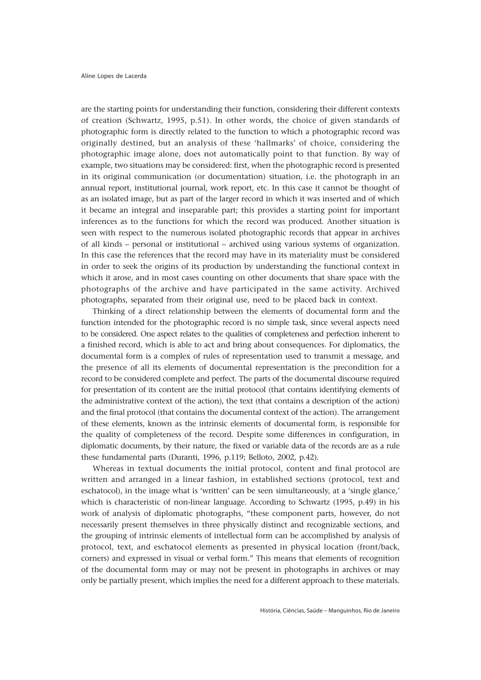are the starting points for understanding their function, considering their different contexts of creation (Schwartz, 1995, p.51). In other words, the choice of given standards of photographic form is directly related to the function to which a photographic record was originally destined, but an analysis of these 'hallmarks' of choice, considering the photographic image alone, does not automatically point to that function. By way of example, two situations may be considered: first, when the photographic record is presented in its original communication (or documentation) situation, i.e. the photograph in an annual report, institutional journal, work report, etc. In this case it cannot be thought of as an isolated image, but as part of the larger record in which it was inserted and of which it became an integral and inseparable part; this provides a starting point for important inferences as to the functions for which the record was produced. Another situation is seen with respect to the numerous isolated photographic records that appear in archives of all kinds – personal or institutional – archived using various systems of organization. In this case the references that the record may have in its materiality must be considered in order to seek the origins of its production by understanding the functional context in which it arose, and in most cases counting on other documents that share space with the photographs of the archive and have participated in the same activity. Archived photographs, separated from their original use, need to be placed back in context.

Thinking of a direct relationship between the elements of documental form and the function intended for the photographic record is no simple task, since several aspects need to be considered. One aspect relates to the qualities of completeness and perfection inherent to a finished record, which is able to act and bring about consequences. For diplomatics, the documental form is a complex of rules of representation used to transmit a message, and the presence of all its elements of documental representation is the precondition for a record to be considered complete and perfect. The parts of the documental discourse required for presentation of its content are the initial protocol (that contains identifying elements of the administrative context of the action), the text (that contains a description of the action) and the final protocol (that contains the documental context of the action). The arrangement of these elements, known as the intrinsic elements of documental form, is responsible for the quality of completeness of the record. Despite some differences in configuration, in diplomatic documents, by their nature, the fixed or variable data of the records are as a rule these fundamental parts (Duranti, 1996, p.119; Belloto, 2002, p.42).

Whereas in textual documents the initial protocol, content and final protocol are written and arranged in a linear fashion, in established sections (protocol, text and eschatocol), in the image what is 'written' can be seen simultaneously, at a 'single glance,' which is characteristic of non-linear language. According to Schwartz (1995, p.49) in his work of analysis of diplomatic photographs, "these component parts, however, do not necessarily present themselves in three physically distinct and recognizable sections, and the grouping of intrinsic elements of intellectual form can be accomplished by analysis of protocol, text, and eschatocol elements as presented in physical location (front/back, corners) and expressed in visual or verbal form." This means that elements of recognition of the documental form may or may not be present in photographs in archives or may only be partially present, which implies the need for a different approach to these materials.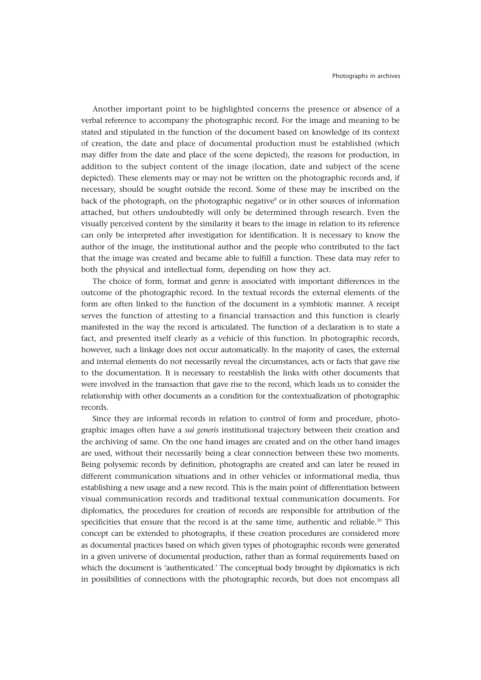Another important point to be highlighted concerns the presence or absence of a verbal reference to accompany the photographic record. For the image and meaning to be stated and stipulated in the function of the document based on knowledge of its context of creation, the date and place of documental production must be established (which may differ from the date and place of the scene depicted), the reasons for production, in addition to the subject content of the image (location, date and subject of the scene depicted). These elements may or may not be written on the photographic records and, if necessary, should be sought outside the record. Some of these may be inscribed on the back of the photograph, on the photographic negative<sup>9</sup> or in other sources of information attached, but others undoubtedly will only be determined through research. Even the visually perceived content by the similarity it bears to the image in relation to its reference can only be interpreted after investigation for identification. It is necessary to know the author of the image, the institutional author and the people who contributed to the fact that the image was created and became able to fulfill a function. These data may refer to both the physical and intellectual form, depending on how they act.

The choice of form, format and genre is associated with important differences in the outcome of the photographic record. In the textual records the external elements of the form are often linked to the function of the document in a symbiotic manner. A receipt serves the function of attesting to a financial transaction and this function is clearly manifested in the way the record is articulated. The function of a declaration is to state a fact, and presented itself clearly as a vehicle of this function. In photographic records, however, such a linkage does not occur automatically. In the majority of cases, the external and internal elements do not necessarily reveal the circumstances, acts or facts that gave rise to the documentation. It is necessary to reestablish the links with other documents that were involved in the transaction that gave rise to the record, which leads us to consider the relationship with other documents as a condition for the contextualization of photographic records.

Since they are informal records in relation to control of form and procedure, photographic images often have a *sui generis* institutional trajectory between their creation and the archiving of same. On the one hand images are created and on the other hand images are used, without their necessarily being a clear connection between these two moments. Being polysemic records by definition, photographs are created and can later be reused in different communication situations and in other vehicles or informational media, thus establishing a new usage and a new record. This is the main point of differentiation between visual communication records and traditional textual communication documents. For diplomatics, the procedures for creation of records are responsible for attribution of the specificities that ensure that the record is at the same time, authentic and reliable.<sup>10</sup> This concept can be extended to photographs, if these creation procedures are considered more as documental practices based on which given types of photographic records were generated in a given universe of documental production, rather than as formal requirements based on which the document is 'authenticated.' The conceptual body brought by diplomatics is rich in possibilities of connections with the photographic records, but does not encompass all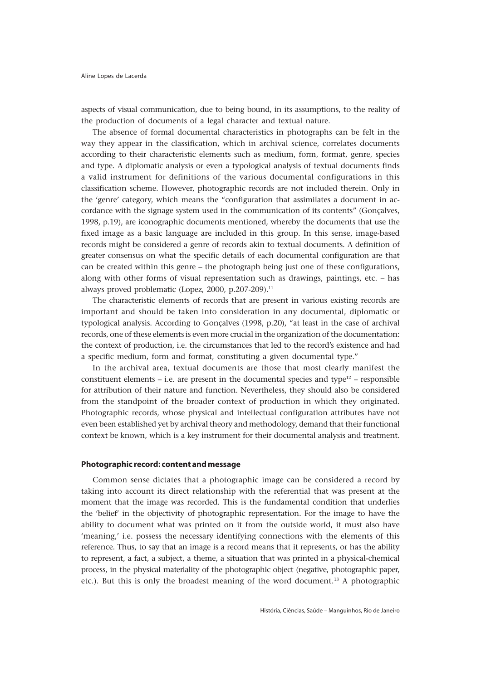aspects of visual communication, due to being bound, in its assumptions, to the reality of the production of documents of a legal character and textual nature.

The absence of formal documental characteristics in photographs can be felt in the way they appear in the classification, which in archival science, correlates documents according to their characteristic elements such as medium, form, format, genre, species and type. A diplomatic analysis or even a typological analysis of textual documents finds a valid instrument for definitions of the various documental configurations in this classification scheme. However, photographic records are not included therein. Only in the 'genre' category, which means the "configuration that assimilates a document in accordance with the signage system used in the communication of its contents" (Gonçalves, 1998, p.19), are iconographic documents mentioned, whereby the documents that use the fixed image as a basic language are included in this group. In this sense, image-based records might be considered a genre of records akin to textual documents. A definition of greater consensus on what the specific details of each documental configuration are that can be created within this genre – the photograph being just one of these configurations, along with other forms of visual representation such as drawings, paintings, etc. – has always proved problematic (Lopez, 2000, p.207-209).11

The characteristic elements of records that are present in various existing records are important and should be taken into consideration in any documental, diplomatic or typological analysis. According to Gonçalves (1998, p.20), "at least in the case of archival records, one of these elements is even more crucial in the organization of the documentation: the context of production, i.e. the circumstances that led to the record's existence and had a specific medium, form and format, constituting a given documental type."

In the archival area, textual documents are those that most clearly manifest the constituent elements – i.e. are present in the documental species and type<sup>12</sup> – responsible for attribution of their nature and function. Nevertheless, they should also be considered from the standpoint of the broader context of production in which they originated. Photographic records, whose physical and intellectual configuration attributes have not even been established yet by archival theory and methodology, demand that their functional context be known, which is a key instrument for their documental analysis and treatment.

## **Photographic record: content and message**

Common sense dictates that a photographic image can be considered a record by taking into account its direct relationship with the referential that was present at the moment that the image was recorded. This is the fundamental condition that underlies the 'belief' in the objectivity of photographic representation. For the image to have the ability to document what was printed on it from the outside world, it must also have 'meaning,' i.e. possess the necessary identifying connections with the elements of this reference. Thus, to say that an image is a record means that it represents, or has the ability to represent, a fact, a subject, a theme, a situation that was printed in a physical-chemical process, in the physical materiality of the photographic object (negative, photographic paper, etc.). But this is only the broadest meaning of the word document.13 A photographic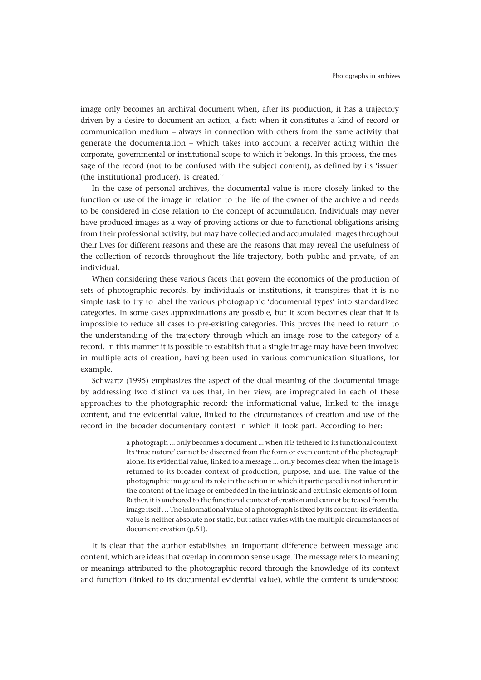image only becomes an archival document when, after its production, it has a trajectory driven by a desire to document an action, a fact; when it constitutes a kind of record or communication medium – always in connection with others from the same activity that generate the documentation – which takes into account a receiver acting within the corporate, governmental or institutional scope to which it belongs. In this process, the message of the record (not to be confused with the subject content), as defined by its 'issuer' (the institutional producer), is created.14

In the case of personal archives, the documental value is more closely linked to the function or use of the image in relation to the life of the owner of the archive and needs to be considered in close relation to the concept of accumulation. Individuals may never have produced images as a way of proving actions or due to functional obligations arising from their professional activity, but may have collected and accumulated images throughout their lives for different reasons and these are the reasons that may reveal the usefulness of the collection of records throughout the life trajectory, both public and private, of an individual.

When considering these various facets that govern the economics of the production of sets of photographic records, by individuals or institutions, it transpires that it is no simple task to try to label the various photographic 'documental types' into standardized categories. In some cases approximations are possible, but it soon becomes clear that it is impossible to reduce all cases to pre-existing categories. This proves the need to return to the understanding of the trajectory through which an image rose to the category of a record. In this manner it is possible to establish that a single image may have been involved in multiple acts of creation, having been used in various communication situations, for example.

Schwartz (1995) emphasizes the aspect of the dual meaning of the documental image by addressing two distinct values that, in her view, are impregnated in each of these approaches to the photographic record: the informational value, linked to the image content, and the evidential value, linked to the circumstances of creation and use of the record in the broader documentary context in which it took part. According to her:

> a photograph ... only becomes a document ... when it is tethered to its functional context. Its 'true nature' cannot be discerned from the form or even content of the photograph alone. Its evidential value, linked to a message ... only becomes clear when the image is returned to its broader context of production, purpose, and use. The value of the photographic image and its role in the action in which it participated is not inherent in the content of the image or embedded in the intrinsic and extrinsic elements of form. Rather, it is anchored to the functional context of creation and cannot be teased from the image itself … The informational value of a photograph is fixed by its content; its evidential value is neither absolute nor static, but rather varies with the multiple circumstances of document creation (p.51).

It is clear that the author establishes an important difference between message and content, which are ideas that overlap in common sense usage. The message refers to meaning or meanings attributed to the photographic record through the knowledge of its context and function (linked to its documental evidential value), while the content is understood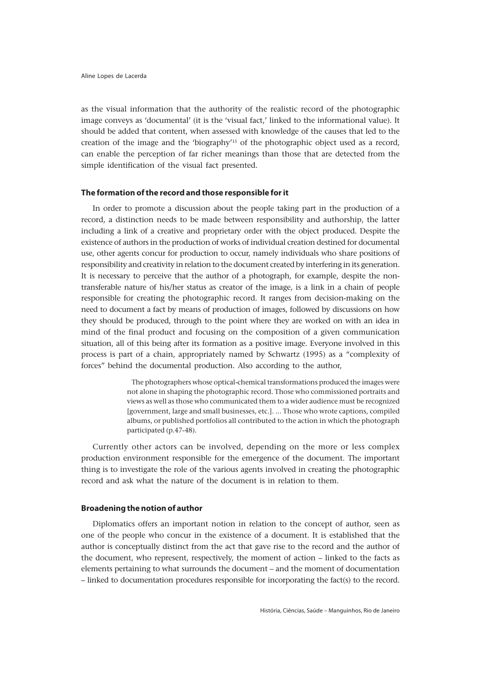as the visual information that the authority of the realistic record of the photographic image conveys as 'documental' (it is the 'visual fact,' linked to the informational value). It should be added that content, when assessed with knowledge of the causes that led to the creation of the image and the 'biography'15 of the photographic object used as a record, can enable the perception of far richer meanings than those that are detected from the simple identification of the visual fact presented.

## **The formation of the record and those responsible for it**

In order to promote a discussion about the people taking part in the production of a record, a distinction needs to be made between responsibility and authorship, the latter including a link of a creative and proprietary order with the object produced. Despite the existence of authors in the production of works of individual creation destined for documental use, other agents concur for production to occur, namely individuals who share positions of responsibility and creativity in relation to the document created by interfering in its generation. It is necessary to perceive that the author of a photograph, for example, despite the nontransferable nature of his/her status as creator of the image, is a link in a chain of people responsible for creating the photographic record. It ranges from decision-making on the need to document a fact by means of production of images, followed by discussions on how they should be produced, through to the point where they are worked on with an idea in mind of the final product and focusing on the composition of a given communication situation, all of this being after its formation as a positive image. Everyone involved in this process is part of a chain, appropriately named by Schwartz (1995) as a "complexity of forces" behind the documental production. Also according to the author,

> The photographers whose optical-chemical transformations produced the images were not alone in shaping the photographic record. Those who commissioned portraits and views as well as those who communicated them to a wider audience must be recognized [government, large and small businesses, etc.]. ... Those who wrote captions, compiled albums, or published portfolios all contributed to the action in which the photograph participated (p.47-48).

Currently other actors can be involved, depending on the more or less complex production environment responsible for the emergence of the document. The important thing is to investigate the role of the various agents involved in creating the photographic record and ask what the nature of the document is in relation to them.

## **Broadening the notion of author**

Diplomatics offers an important notion in relation to the concept of author, seen as one of the people who concur in the existence of a document. It is established that the author is conceptually distinct from the act that gave rise to the record and the author of the document, who represent, respectively, the moment of action – linked to the facts as elements pertaining to what surrounds the document – and the moment of documentation – linked to documentation procedures responsible for incorporating the fact(s) to the record.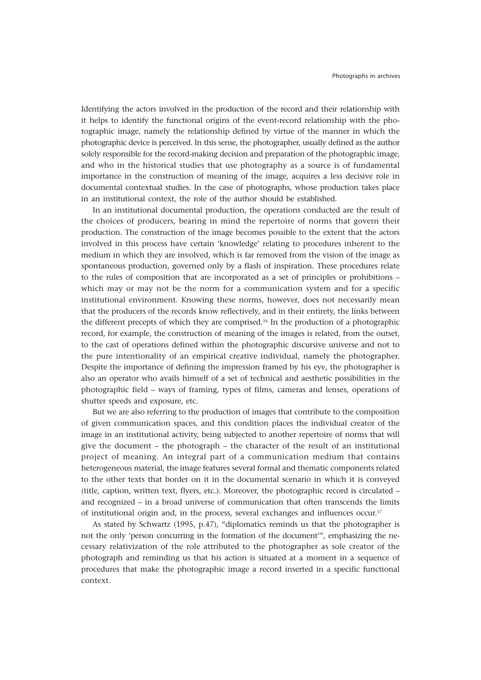Identifying the actors involved in the production of the record and their relationship with it helps to identify the functional origins of the event-record relationship with the photographic image, namely the relationship defined by virtue of the manner in which the photographic device is perceived. In this sense, the photographer, usually defined as the author solely responsible for the record-making decision and preparation of the photographic image, and who in the historical studies that use photography as a source is of fundamental importance in the construction of meaning of the image, acquires a less decisive role in documental contextual studies. In the case of photographs, whose production takes place in an institutional context, the role of the author should be established.

In an institutional documental production, the operations conducted are the result of the choices of producers, bearing in mind the repertoire of norms that govern their production. The construction of the image becomes possible to the extent that the actors involved in this process have certain 'knowledge' relating to procedures inherent to the medium in which they are involved, which is far removed from the vision of the image as spontaneous production, governed only by a flash of inspiration. These procedures relate to the rules of composition that are incorporated as a set of principles or prohibitions – which may or may not be the norm for a communication system and for a specific institutional environment. Knowing these norms, however, does not necessarily mean that the producers of the records know reflectively, and in their entirety, the links between the different precepts of which they are comprised.16 In the production of a photographic record, for example, the construction of meaning of the images is related, from the outset, to the cast of operations defined within the photographic discursive universe and not to the pure intentionality of an empirical creative individual, namely the photographer. Despite the importance of defining the impression framed by his eye, the photographer is also an operator who avails himself of a set of technical and aesthetic possibilities in the photographic field – ways of framing, types of films, cameras and lenses, operations of shutter speeds and exposure, etc.

But we are also referring to the production of images that contribute to the composition of given communication spaces, and this condition places the individual creator of the image in an institutional activity, being subjected to another repertoire of norms that will give the document – the photograph – the character of the result of an institutional project of meaning. An integral part of a communication medium that contains heterogeneous material, the image features several formal and thematic components related to the other texts that border on it in the documental scenario in which it is conveyed (title, caption, written text, flyers, etc.). Moreover, the photographic record is circulated – and recognized – in a broad universe of communication that often transcends the limits of institutional origin and, in the process, several exchanges and influences occur.17

As stated by Schwartz (1995, p.47), "diplomatics reminds us that the photographer is not the only 'person concurring in the formation of the document'", emphasizing the necessary relativization of the role attributed to the photographer as sole creator of the photograph and reminding us that his action is situated at a moment in a sequence of procedures that make the photographic image a record inserted in a specific functional context.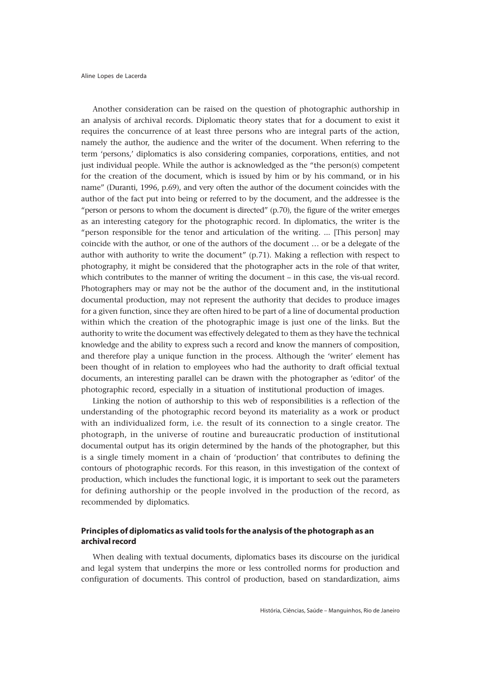Aline Lopes de Lacerda

Another consideration can be raised on the question of photographic authorship in an analysis of archival records. Diplomatic theory states that for a document to exist it requires the concurrence of at least three persons who are integral parts of the action, namely the author, the audience and the writer of the document. When referring to the term 'persons,' diplomatics is also considering companies, corporations, entities, and not just individual people. While the author is acknowledged as the "the person(s) competent for the creation of the document, which is issued by him or by his command, or in his name" (Duranti, 1996, p.69), and very often the author of the document coincides with the author of the fact put into being or referred to by the document, and the addressee is the "person or persons to whom the document is directed" (p.70), the figure of the writer emerges as an interesting category for the photographic record. In diplomatics, the writer is the "person responsible for the tenor and articulation of the writing. ... [This person] may coincide with the author, or one of the authors of the document … or be a delegate of the author with authority to write the document" (p.71). Making a reflection with respect to photography, it might be considered that the photographer acts in the role of that writer, which contributes to the manner of writing the document – in this case, the vis-ual record. Photographers may or may not be the author of the document and, in the institutional documental production, may not represent the authority that decides to produce images for a given function, since they are often hired to be part of a line of documental production within which the creation of the photographic image is just one of the links. But the authority to write the document was effectively delegated to them as they have the technical knowledge and the ability to express such a record and know the manners of composition, and therefore play a unique function in the process. Although the 'writer' element has been thought of in relation to employees who had the authority to draft official textual documents, an interesting parallel can be drawn with the photographer as 'editor' of the photographic record, especially in a situation of institutional production of images.

Linking the notion of authorship to this web of responsibilities is a reflection of the understanding of the photographic record beyond its materiality as a work or product with an individualized form, i.e. the result of its connection to a single creator. The photograph, in the universe of routine and bureaucratic production of institutional documental output has its origin determined by the hands of the photographer, but this is a single timely moment in a chain of 'production' that contributes to defining the contours of photographic records. For this reason, in this investigation of the context of production, which includes the functional logic, it is important to seek out the parameters for defining authorship or the people involved in the production of the record, as recommended by diplomatics.

# **Principles of diplomatics as valid tools for the analysis of the photograph as an archival record**

When dealing with textual documents, diplomatics bases its discourse on the juridical and legal system that underpins the more or less controlled norms for production and configuration of documents. This control of production, based on standardization, aims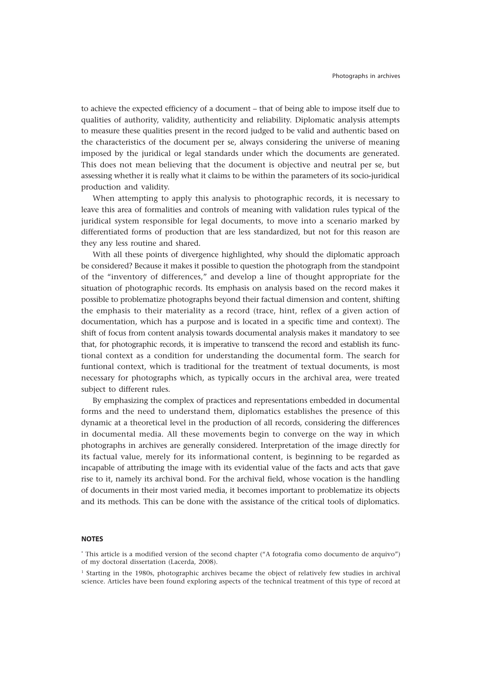to achieve the expected efficiency of a document – that of being able to impose itself due to qualities of authority, validity, authenticity and reliability. Diplomatic analysis attempts to measure these qualities present in the record judged to be valid and authentic based on the characteristics of the document per se, always considering the universe of meaning imposed by the juridical or legal standards under which the documents are generated. This does not mean believing that the document is objective and neutral per se, but assessing whether it is really what it claims to be within the parameters of its socio-juridical production and validity.

When attempting to apply this analysis to photographic records, it is necessary to leave this area of formalities and controls of meaning with validation rules typical of the juridical system responsible for legal documents, to move into a scenario marked by differentiated forms of production that are less standardized, but not for this reason are they any less routine and shared.

With all these points of divergence highlighted, why should the diplomatic approach be considered? Because it makes it possible to question the photograph from the standpoint of the "inventory of differences," and develop a line of thought appropriate for the situation of photographic records. Its emphasis on analysis based on the record makes it possible to problematize photographs beyond their factual dimension and content, shifting the emphasis to their materiality as a record (trace, hint, reflex of a given action of documentation, which has a purpose and is located in a specific time and context). The shift of focus from content analysis towards documental analysis makes it mandatory to see that, for photographic records, it is imperative to transcend the record and establish its functional context as a condition for understanding the documental form. The search for funtional context, which is traditional for the treatment of textual documents, is most necessary for photographs which, as typically occurs in the archival area, were treated subject to different rules.

By emphasizing the complex of practices and representations embedded in documental forms and the need to understand them, diplomatics establishes the presence of this dynamic at a theoretical level in the production of all records, considering the differences in documental media. All these movements begin to converge on the way in which photographs in archives are generally considered. Interpretation of the image directly for its factual value, merely for its informational content, is beginning to be regarded as incapable of attributing the image with its evidential value of the facts and acts that gave rise to it, namely its archival bond. For the archival field, whose vocation is the handling of documents in their most varied media, it becomes important to problematize its objects and its methods. This can be done with the assistance of the critical tools of diplomatics.

## **NOTES**

<sup>\*</sup> This article is a modified version of the second chapter ("A fotografia como documento de arquivo") of my doctoral dissertation (Lacerda, 2008).

<sup>&</sup>lt;sup>1</sup> Starting in the 1980s, photographic archives became the object of relatively few studies in archival science. Articles have been found exploring aspects of the technical treatment of this type of record at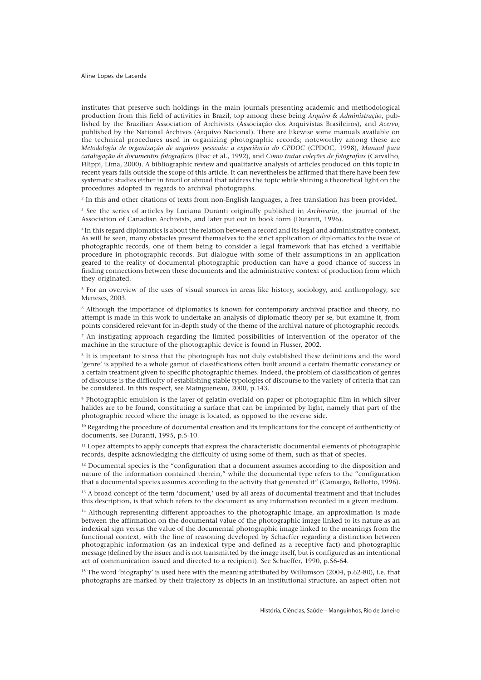Aline Lopes de Lacerda

institutes that preserve such holdings in the main journals presenting academic and methodological production from this field of activities in Brazil, top among these being *Arquivo & Administração*, published by the Brazilian Association of Archivists (Associação dos Arquivistas Brasileiros), and *Acervo*, published by the National Archives (Arquivo Nacional). There are likewise some manuals available on the technical procedures used in organizing photographic records; noteworthy among these are *Metodologia de organização de arquivos pessoais: a experiência do CPDOC* (CPDOC, 1998), *Manual para catalogação de documentos fotográficos* (Ibac et al., 1992), and *Como tratar coleções de fotografias* (Carvalho, Filippi, Lima, 2000). A bibliographic review and qualitative analysis of articles produced on this topic in recent years falls outside the scope of this article. It can nevertheless be affirmed that there have been few systematic studies either in Brazil or abroad that address the topic while shining a theoretical light on the procedures adopted in regards to archival photographs.

2 In this and other citations of texts from non-English languages, a free translation has been provided.

3 See the series of articles by Luciana Duranti originally published in *Archivaria*, the journal of the Association of Canadian Archivists, and later put out in book form (Duranti, 1996).

4 In this regard diplomatics is about the relation between a record and its legal and administrative context. As will be seen, many obstacles present themselves to the strict application of diplomatics to the issue of photographic records, one of them being to consider a legal framework that has etched a verifiable procedure in photographic records. But dialogue with some of their assumptions in an application geared to the reality of documental photographic production can have a good chance of success in finding connections between these documents and the administrative context of production from which they originated.

 $5$  For an overview of the uses of visual sources in areas like history, sociology, and anthropology, see Meneses, 2003.

6 Although the importance of diplomatics is known for contemporary archival practice and theory, no attempt is made in this work to undertake an analysis of diplomatic theory per se, but examine it, from points considered relevant for in-depth study of the theme of the archival nature of photographic records.

 $7$  An instigating approach regarding the limited possibilities of intervention of the operator of the machine in the structure of the photographic device is found in Flusser, 2002.

8 It is important to stress that the photograph has not duly established these definitions and the word 'genre' is applied to a whole gamut of classifications often built around a certain thematic constancy or a certain treatment given to specific photographic themes. Indeed, the problem of classification of genres of discourse is the difficulty of establishing stable typologies of discourse to the variety of criteria that can be considered. In this respect, see Maingueneau, 2000, p.143.

9 Photographic emulsion is the layer of gelatin overlaid on paper or photographic film in which silver halides are to be found, constituting a surface that can be imprinted by light, namely that part of the photographic record where the image is located, as opposed to the reverse side.

<sup>10</sup> Regarding the procedure of documental creation and its implications for the concept of authenticity of documents, see Duranti, 1995, p.5-10.

<sup>11</sup> Lopez attempts to apply concepts that express the characteristic documental elements of photographic records, despite acknowledging the difficulty of using some of them, such as that of species.

<sup>12</sup> Documental species is the "configuration that a document assumes according to the disposition and nature of the information contained therein," while the documental type refers to the "configuration that a documental species assumes according to the activity that generated it" (Camargo, Bellotto, 1996).

<sup>13</sup> A broad concept of the term 'document,' used by all areas of documental treatment and that includes this description, is that which refers to the document as any information recorded in a given medium.

<sup>14</sup> Although representing different approaches to the photographic image, an approximation is made between the affirmation on the documental value of the photographic image linked to its nature as an indexical sign versus the value of the documental photographic image linked to the meanings from the functional context, with the line of reasoning developed by Schaeffer regarding a distinction between photographic information (as an indexical type and defined as a receptive fact) and photographic message (defined by the issuer and is not transmitted by the image itself, but is configured as an intentional act of communication issued and directed to a recipient). See Schaeffer, 1990, p.56-64.

<sup>15</sup> The word 'biography' is used here with the meaning attributed by Willumson (2004, p.62-80), i.e. that photographs are marked by their trajectory as objects in an institutional structure, an aspect often not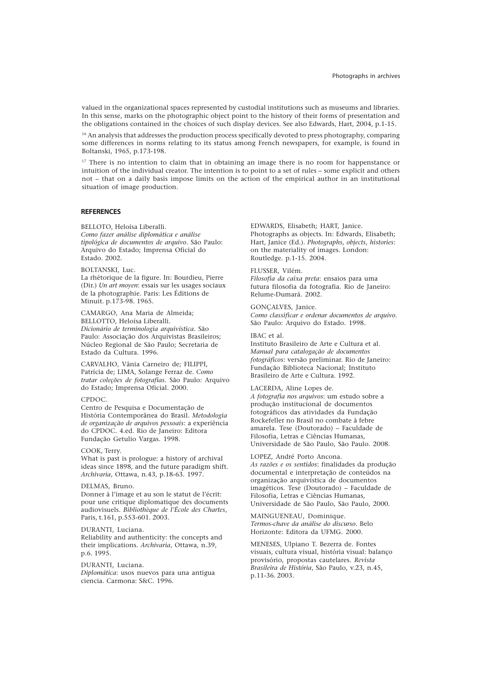valued in the organizational spaces represented by custodial institutions such as museums and libraries. In this sense, marks on the photographic object point to the history of their forms of presentation and the obligations contained in the choices of such display devices. See also Edwards, Hart, 2004, p.1-15.

<sup>16</sup> An analysis that addresses the production process specifically devoted to press photography, comparing some differences in norms relating to its status among French newspapers, for example, is found in Boltanski, 1965, p.173-198.

<sup>17</sup> There is no intention to claim that in obtaining an image there is no room for happenstance or intuition of the individual creator. The intention is to point to a set of rules – some explicit and others not – that on a daily basis impose limits on the action of the empirical author in an institutional situation of image production.

## **REFERENCES**

BELLOTO, Heloísa Liberalli.

*Como fazer análise diplomática e análise tipológica de documentos de arquivo*. São Paulo: Arquivo do Estado; Imprensa Oficial do Estado. 2002.

### BOLTANSKI, Luc.

Estado da Cultura. 1996.

La rhétorique de la figure. In: Bourdieu, Pierre (Dir.) *Un art moyen*: essais sur les usages sociaux de la photographie. Paris: Les Éditions de Minuit. p.173-98. 1965.

CAMARGO, Ana Maria de Almeida; BELLOTTO, Heloísa Liberalli. *Dicionário de terminologia arquivística*. São Paulo: Associação dos Arquivistas Brasileiros; Núcleo Regional de São Paulo; Secretaria de

CARVALHO, Vânia Carneiro de; FILIPPI, Patrícia de; LIMA, Solange Ferraz de. *Como tratar coleções de fotografias*. São Paulo: Arquivo do Estado; Imprensa Oficial. 2000.

#### CPDOC.

Centro de Pesquisa e Documentação de História Contemporânea do Brasil. *Metodologia de organização de arquivos pessoais*: a experiência do CPDOC. 4.ed. Rio de Janeiro: Editora Fundação Getulio Vargas. 1998.

#### COOK, Terry.

What is past is prologue: a history of archival ideas since 1898, and the future paradigm shift. *Archivaria*, Ottawa, n.43, p.18-63. 1997.

### DELMAS, Bruno.

Donner à l'image et au son le statut de l'écrit: pour une critique diplomatique des documents audiovisuels. *Bibliothèque de l'École des Chartes*, Paris, t.161, p.553-601. 2003.

## DURANTI, Luciana.

Reliability and authenticity: the concepts and their implications. *Archivaria*, Ottawa, n.39, p.6. 1995.

### DURANTI, Luciana.

*Diplomática*: usos nuevos para una antigua ciencia. Carmona: S&C. 1996.

## EDWARDS, Elisabeth; HART, Janice. Photographs as objects. In: Edwards, Elisabeth; Hart, Janice (Ed.). *Photographs, objects, histories*: on the materiality of images. London: Routledge. p.1-15. 2004.

## FLUSSER, Vilém.

*Filosofia da caixa preta*: ensaios para uma futura filosofia da fotografia. Rio de Janeiro: Relume-Dumará. 2002.

## GONÇALVES, Janice.

*Como classificar e ordenar documentos de arquivo*. São Paulo: Arquivo do Estado. 1998.

### IBAC et al.

Instituto Brasileiro de Arte e Cultura et al. *Manual para catalogação de documentos fotográficos*: versão preliminar. Rio de Janeiro: Fundação Biblioteca Nacional; Instituto Brasileiro de Arte e Cultura. 1992.

### LACERDA, Aline Lopes de.

*A fotografia nos arquivos*: um estudo sobre a produção institucional de documentos fotográficos das atividades da Fundação Rockefeller no Brasil no combate à febre amarela. Tese (Doutorado) – Faculdade de Filosofia, Letras e Ciências Humanas, Universidade de São Paulo, São Paulo. 2008.

### LOPEZ, André Porto Ancona. *As razões e os sentidos*: finalidades da produção documental e interpretação de conteúdos na

organização arquivística de documentos imagéticos. Tese (Doutorado) – Faculdade de Filosofia, Letras e Ciências Humanas, Universidade de São Paulo, São Paulo, 2000.

MAINGUENEAU, Dominique. *Termos-chave da análise do discurso*. Belo Horizonte: Editora da UFMG. 2000.

MENESES, Ulpiano T. Bezerra de. Fontes visuais, cultura visual, história visual: balanço provisório, propostas cautelares. *Revista Brasileira de História*, São Paulo, v.23, n.45, p.11-36. 2003.